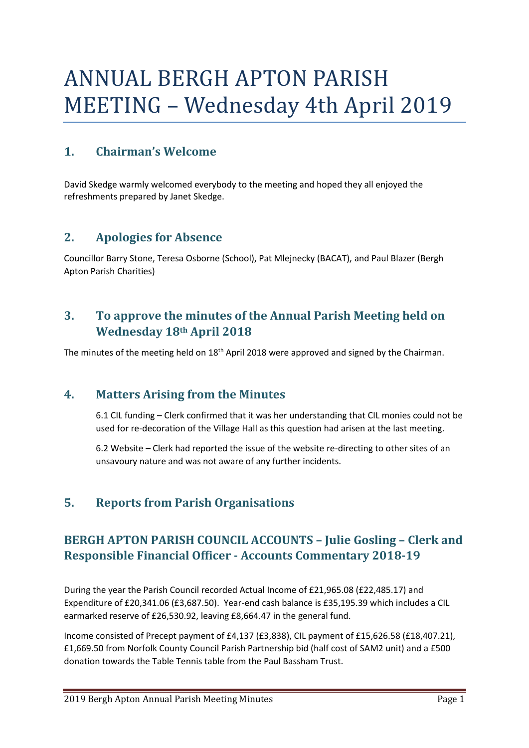# ANNUAL BERGH APTON PARISH MEETING – Wednesday 4th April 2019

# **1. Chairman's Welcome**

David Skedge warmly welcomed everybody to the meeting and hoped they all enjoyed the refreshments prepared by Janet Skedge.

#### **2. Apologies for Absence**

Councillor Barry Stone, Teresa Osborne (School), Pat Mlejnecky (BACAT), and Paul Blazer (Bergh Apton Parish Charities)

# **3. To approve the minutes of the Annual Parish Meeting held on Wednesday 18th April 2018**

The minutes of the meeting held on 18<sup>th</sup> April 2018 were approved and signed by the Chairman.

#### **4. Matters Arising from the Minutes**

6.1 CIL funding – Clerk confirmed that it was her understanding that CIL monies could not be used for re-decoration of the Village Hall as this question had arisen at the last meeting.

6.2 Website – Clerk had reported the issue of the website re-directing to other sites of an unsavoury nature and was not aware of any further incidents.

# **5. Reports from Parish Organisations**

# **BERGH APTON PARISH COUNCIL ACCOUNTS – Julie Gosling – Clerk and Responsible Financial Officer - Accounts Commentary 2018-19**

During the year the Parish Council recorded Actual Income of £21,965.08 (£22,485.17) and Expenditure of £20,341.06 (£3,687.50). Year-end cash balance is £35,195.39 which includes a CIL earmarked reserve of £26,530.92, leaving £8,664.47 in the general fund.

Income consisted of Precept payment of £4,137 (£3,838), CIL payment of £15,626.58 (£18,407.21), £1,669.50 from Norfolk County Council Parish Partnership bid (half cost of SAM2 unit) and a £500 donation towards the Table Tennis table from the Paul Bassham Trust.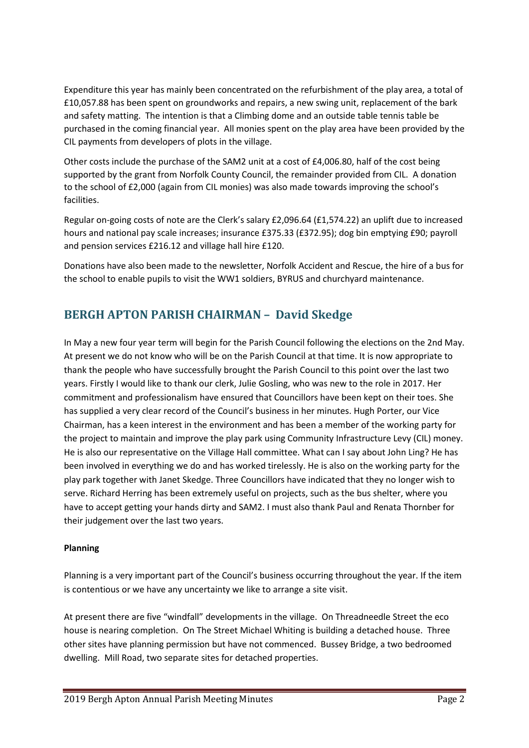Expenditure this year has mainly been concentrated on the refurbishment of the play area, a total of £10,057.88 has been spent on groundworks and repairs, a new swing unit, replacement of the bark and safety matting. The intention is that a Climbing dome and an outside table tennis table be purchased in the coming financial year. All monies spent on the play area have been provided by the CIL payments from developers of plots in the village.

Other costs include the purchase of the SAM2 unit at a cost of £4,006.80, half of the cost being supported by the grant from Norfolk County Council, the remainder provided from CIL. A donation to the school of £2,000 (again from CIL monies) was also made towards improving the school's facilities.

Regular on-going costs of note are the Clerk's salary £2,096.64 (£1,574.22) an uplift due to increased hours and national pay scale increases; insurance £375.33 (£372.95); dog bin emptying £90; payroll and pension services £216.12 and village hall hire £120.

Donations have also been made to the newsletter, Norfolk Accident and Rescue, the hire of a bus for the school to enable pupils to visit the WW1 soldiers, BYRUS and churchyard maintenance.

# **BERGH APTON PARISH CHAIRMAN – David Skedge**

In May a new four year term will begin for the Parish Council following the elections on the 2nd May. At present we do not know who will be on the Parish Council at that time. It is now appropriate to thank the people who have successfully brought the Parish Council to this point over the last two years. Firstly I would like to thank our clerk, Julie Gosling, who was new to the role in 2017. Her commitment and professionalism have ensured that Councillors have been kept on their toes. She has supplied a very clear record of the Council's business in her minutes. Hugh Porter, our Vice Chairman, has a keen interest in the environment and has been a member of the working party for the project to maintain and improve the play park using Community Infrastructure Levy (CIL) money. He is also our representative on the Village Hall committee. What can I say about John Ling? He has been involved in everything we do and has worked tirelessly. He is also on the working party for the play park together with Janet Skedge. Three Councillors have indicated that they no longer wish to serve. Richard Herring has been extremely useful on projects, such as the bus shelter, where you have to accept getting your hands dirty and SAM2. I must also thank Paul and Renata Thornber for their judgement over the last two years.

#### **Planning**

Planning is a very important part of the Council's business occurring throughout the year. If the item is contentious or we have any uncertainty we like to arrange a site visit.

At present there are five "windfall" developments in the village. On Threadneedle Street the eco house is nearing completion. On The Street Michael Whiting is building a detached house. Three other sites have planning permission but have not commenced. Bussey Bridge, a two bedroomed dwelling. Mill Road, two separate sites for detached properties.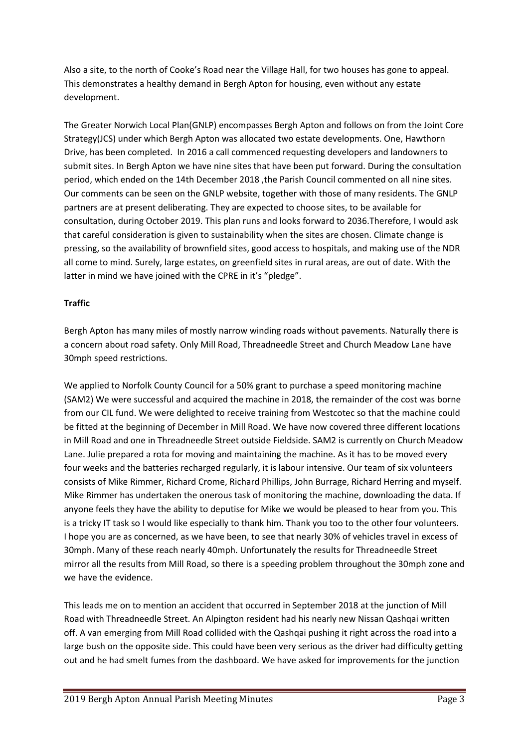Also a site, to the north of Cooke's Road near the Village Hall, for two houses has gone to appeal. This demonstrates a healthy demand in Bergh Apton for housing, even without any estate development.

The Greater Norwich Local Plan(GNLP) encompasses Bergh Apton and follows on from the Joint Core Strategy(JCS) under which Bergh Apton was allocated two estate developments. One, Hawthorn Drive, has been completed. In 2016 a call commenced requesting developers and landowners to submit sites. In Bergh Apton we have nine sites that have been put forward. During the consultation period, which ended on the 14th December 2018 ,the Parish Council commented on all nine sites. Our comments can be seen on the GNLP website, together with those of many residents. The GNLP partners are at present deliberating. They are expected to choose sites, to be available for consultation, during October 2019. This plan runs and looks forward to 2036.Therefore, I would ask that careful consideration is given to sustainability when the sites are chosen. Climate change is pressing, so the availability of brownfield sites, good access to hospitals, and making use of the NDR all come to mind. Surely, large estates, on greenfield sites in rural areas, are out of date. With the latter in mind we have joined with the CPRE in it's "pledge".

#### **Traffic**

Bergh Apton has many miles of mostly narrow winding roads without pavements. Naturally there is a concern about road safety. Only Mill Road, Threadneedle Street and Church Meadow Lane have 30mph speed restrictions.

We applied to Norfolk County Council for a 50% grant to purchase a speed monitoring machine (SAM2) We were successful and acquired the machine in 2018, the remainder of the cost was borne from our CIL fund. We were delighted to receive training from Westcotec so that the machine could be fitted at the beginning of December in Mill Road. We have now covered three different locations in Mill Road and one in Threadneedle Street outside Fieldside. SAM2 is currently on Church Meadow Lane. Julie prepared a rota for moving and maintaining the machine. As it has to be moved every four weeks and the batteries recharged regularly, it is labour intensive. Our team of six volunteers consists of Mike Rimmer, Richard Crome, Richard Phillips, John Burrage, Richard Herring and myself. Mike Rimmer has undertaken the onerous task of monitoring the machine, downloading the data. If anyone feels they have the ability to deputise for Mike we would be pleased to hear from you. This is a tricky IT task so I would like especially to thank him. Thank you too to the other four volunteers. I hope you are as concerned, as we have been, to see that nearly 30% of vehicles travel in excess of 30mph. Many of these reach nearly 40mph. Unfortunately the results for Threadneedle Street mirror all the results from Mill Road, so there is a speeding problem throughout the 30mph zone and we have the evidence.

This leads me on to mention an accident that occurred in September 2018 at the junction of Mill Road with Threadneedle Street. An Alpington resident had his nearly new Nissan Qashqai written off. A van emerging from Mill Road collided with the Qashqai pushing it right across the road into a large bush on the opposite side. This could have been very serious as the driver had difficulty getting out and he had smelt fumes from the dashboard. We have asked for improvements for the junction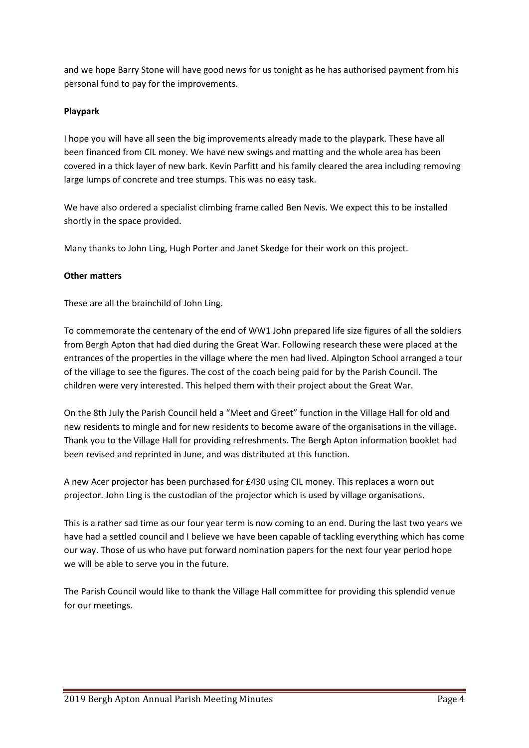and we hope Barry Stone will have good news for us tonight as he has authorised payment from his personal fund to pay for the improvements.

#### **Playpark**

I hope you will have all seen the big improvements already made to the playpark. These have all been financed from CIL money. We have new swings and matting and the whole area has been covered in a thick layer of new bark. Kevin Parfitt and his family cleared the area including removing large lumps of concrete and tree stumps. This was no easy task.

We have also ordered a specialist climbing frame called Ben Nevis. We expect this to be installed shortly in the space provided.

Many thanks to John Ling, Hugh Porter and Janet Skedge for their work on this project.

#### **Other matters**

These are all the brainchild of John Ling.

To commemorate the centenary of the end of WW1 John prepared life size figures of all the soldiers from Bergh Apton that had died during the Great War. Following research these were placed at the entrances of the properties in the village where the men had lived. Alpington School arranged a tour of the village to see the figures. The cost of the coach being paid for by the Parish Council. The children were very interested. This helped them with their project about the Great War.

On the 8th July the Parish Council held a "Meet and Greet" function in the Village Hall for old and new residents to mingle and for new residents to become aware of the organisations in the village. Thank you to the Village Hall for providing refreshments. The Bergh Apton information booklet had been revised and reprinted in June, and was distributed at this function.

A new Acer projector has been purchased for £430 using CIL money. This replaces a worn out projector. John Ling is the custodian of the projector which is used by village organisations.

This is a rather sad time as our four year term is now coming to an end. During the last two years we have had a settled council and I believe we have been capable of tackling everything which has come our way. Those of us who have put forward nomination papers for the next four year period hope we will be able to serve you in the future.

The Parish Council would like to thank the Village Hall committee for providing this splendid venue for our meetings.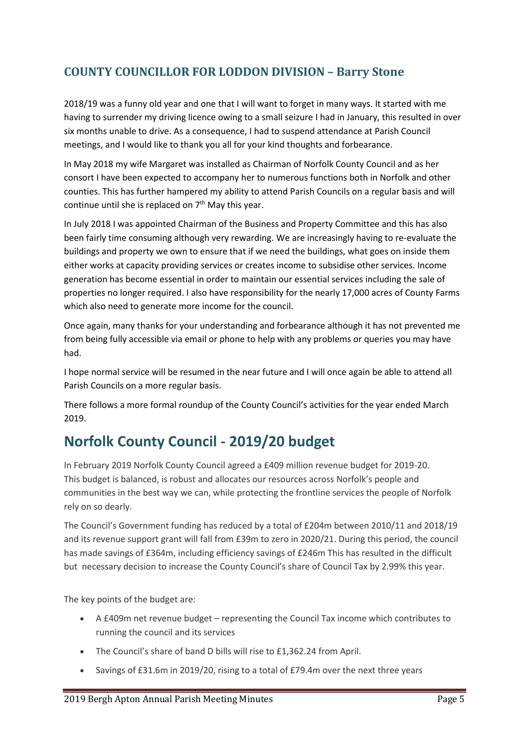# **COUNTY COUNCILLOR FOR LODDON DIVISION – Barry Stone**

2018/19 was a funny old year and one that I will want to forget in many ways. It started with me having to surrender my driving licence owing to a small seizure I had in January, this resulted in over six months unable to drive. As a consequence, I had to suspend attendance at Parish Council meetings, and I would like to thank you all for your kind thoughts and forbearance.

In May 2018 my wife Margaret was installed as Chairman of Norfolk County Council and as her consort I have been expected to accompany her to numerous functions both in Norfolk and other counties. This has further hampered my ability to attend Parish Councils on a regular basis and will continue until she is replaced on  $7<sup>th</sup>$  May this year.

In July 2018 I was appointed Chairman of the Business and Property Committee and this has also been fairly time consuming although very rewarding. We are increasingly having to re-evaluate the buildings and property we own to ensure that if we need the buildings, what goes on inside them either works at capacity providing services or creates income to subsidise other services. Income generation has become essential in order to maintain our essential services including the sale of properties no longer required. I also have responsibility for the nearly 17,000 acres of County Farms which also need to generate more income for the council.

Once again, many thanks for your understanding and forbearance although it has not prevented me from being fully accessible via email or phone to help with any problems or queries you may have had.

I hope normal service will be resumed in the near future and I will once again be able to attend all Parish Councils on a more regular basis.

There follows a more formal roundup of the County Council's activities for the year ended March 2019.

# **Norfolk County Council - 2019/20 budget**

In February 2019 Norfolk County Council agreed a £409 million revenue budget for 2019-20. This budget is balanced, is robust and allocates our resources across Norfolk's people and communities in the best way we can, while protecting the frontline services the people of Norfolk rely on so dearly.

The Council's Government funding has reduced by a total of £204m between 2010/11 and 2018/19 and its revenue support grant will fall from £39m to zero in 2020/21. During this period, the council has made savings of £364m, including efficiency savings of £246m This has resulted in the difficult but necessary decision to increase the County Council's share of Council Tax by 2.99% this year.

The key points of the budget are:

- A £409m net revenue budget representing the Council Tax income which contributes to running the council and its services
- The Council's share of band D bills will rise to £1,362.24 from April.
- Savings of £31.6m in 2019/20, rising to a total of £79.4m over the next three years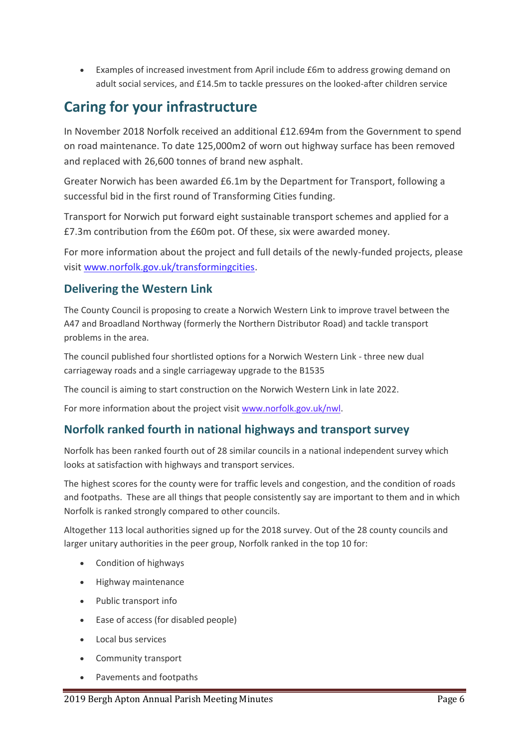• Examples of increased investment from April include £6m to address growing demand on adult social services, and £14.5m to tackle pressures on the looked-after children service

# **Caring for your infrastructure**

In November 2018 Norfolk received an additional £12.694m from the Government to spend on road maintenance. To date 125,000m2 of worn out highway surface has been removed and replaced with 26,600 tonnes of brand new asphalt.

Greater Norwich has been awarded £6.1m by the Department for Transport, following a successful bid in the first round of Transforming Cities funding.

Transport for Norwich put forward eight sustainable transport schemes and applied for a £7.3m contribution from the £60m pot. Of these, six were awarded money.

For more information about the project and full details of the newly-funded projects, please visit [www.norfolk.gov.uk/transformingcities.](https://www.norfolk.gov.uk/transformingcities)

#### **Delivering the Western Link**

The County Council is proposing to create a Norwich Western Link to improve travel between the A47 and Broadland Northway (formerly the Northern Distributor Road) and tackle transport problems in the area.

The council published four shortlisted options for a Norwich Western Link - three new dual carriageway roads and a single carriageway upgrade to the B1535

The council is aiming to start construction on the Norwich Western Link in late 2022.

For more information about the project visit [www.norfolk.gov.uk/nwl.](https://www.norfolk.gov.uk/nwl)

#### **Norfolk ranked fourth in national highways and transport survey**

Norfolk has been ranked fourth out of 28 similar councils in a national independent survey which looks at satisfaction with highways and transport services.

The highest scores for the county were for traffic levels and congestion, and the condition of roads and footpaths. These are all things that people consistently say are important to them and in which Norfolk is ranked strongly compared to other councils.

Altogether 113 local authorities signed up for the 2018 survey. Out of the 28 county councils and larger unitary authorities in the peer group, Norfolk ranked in the top 10 for:

- Condition of highways
- Highway maintenance
- Public transport info
- Ease of access (for disabled people)
- Local bus services
- Community transport
- Pavements and footpaths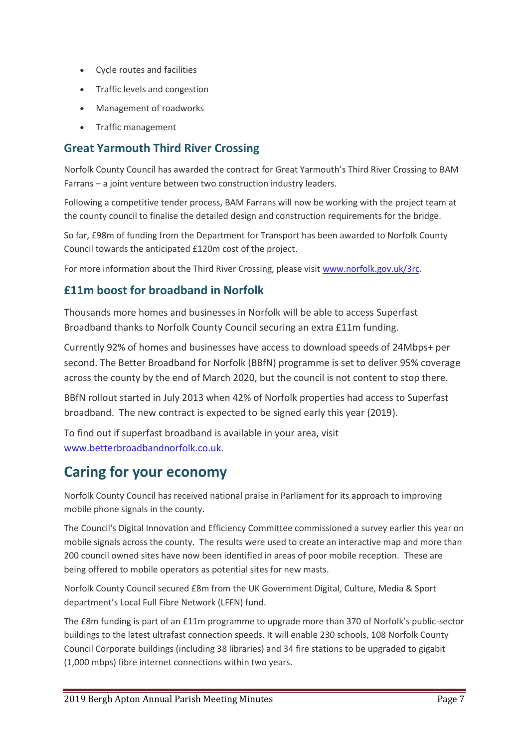- Cycle routes and facilities
- Traffic levels and congestion
- Management of roadworks
- Traffic management

#### **Great Yarmouth Third River Crossing**

Norfolk County Council has awarded the contract for Great Yarmouth's Third River Crossing to BAM Farrans – a joint venture between two construction industry leaders.

Following a competitive tender process, BAM Farrans will now be working with the project team at the county council to finalise the detailed design and construction requirements for the bridge.

So far, £98m of funding from the Department for Transport has been awarded to Norfolk County Council towards the anticipated £120m cost of the project.

For more information about the Third River Crossing, please visit [www.norfolk.gov.uk/3rc](https://www.norfolk.gov.uk/roads-and-transport/major-projects-and-improvement-plans/great-yarmouth/third-river-crossing).

#### **£11m boost for broadband in Norfolk**

Thousands more homes and businesses in Norfolk will be able to access Superfast Broadband thanks to Norfolk County Council securing an extra £11m funding.

Currently 92% of homes and businesses have access to download speeds of 24Mbps+ per second. The Better Broadband for Norfolk (BBfN) programme is set to deliver 95% coverage across the county by the end of March 2020, but the council is not content to stop there.

BBfN rollout started in July 2013 when 42% of Norfolk properties had access to Superfast broadband. The new contract is expected to be signed early this year (2019).

To find out if superfast broadband is available in your area, visit [www.betterbroadbandnorfolk.co.uk.](https://www.betterbroadbandnorfolk.co.uk/)

# **Caring for your economy**

Norfolk County Council has received national praise in Parliament for its approach to improving mobile phone signals in the county.

The Council's Digital Innovation and Efficiency Committee commissioned a survey earlier this year on mobile signals across the county. The results were used to create an interactive map and more than 200 council owned sites have now been identified in areas of poor mobile reception. These are being offered to mobile operators as potential sites for new masts.

Norfolk County Council secured £8m from the UK Government Digital, Culture, Media & Sport department's Local Full Fibre Network (LFFN) fund.

The £8m funding is part of an £11m programme to upgrade more than 370 of Norfolk's public-sector buildings to the latest ultrafast connection speeds. It will enable 230 schools, 108 Norfolk County Council Corporate buildings (including 38 libraries) and 34 fire stations to be upgraded to gigabit (1,000 mbps) fibre internet connections within two years.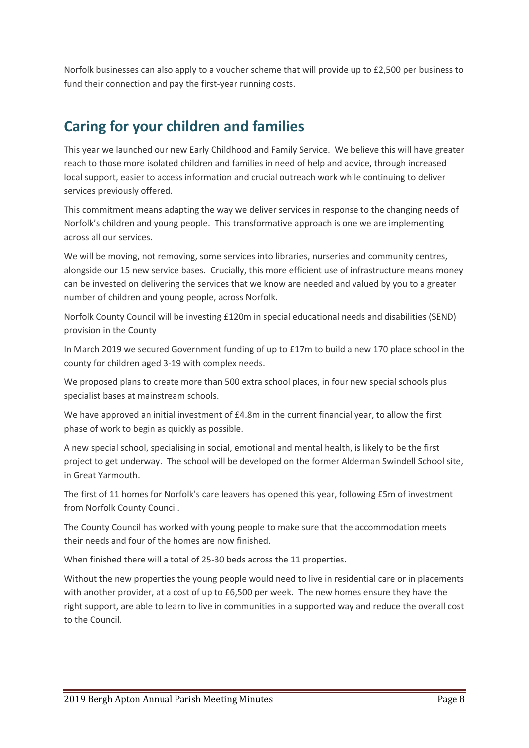Norfolk businesses can also apply to a voucher scheme that will provide up to £2,500 per business to fund their connection and pay the first-year running costs.

# **Caring for your children and families**

This year we launched our new Early Childhood and Family Service. We believe this will have greater reach to those more isolated children and families in need of help and advice, through increased local support, easier to access information and crucial outreach work while continuing to deliver services previously offered.

This commitment means adapting the way we deliver services in response to the changing needs of Norfolk's children and young people. This transformative approach is one we are implementing across all our services.

We will be moving, not removing, some services into libraries, nurseries and community centres, alongside our 15 new service bases. Crucially, this more efficient use of infrastructure means money can be invested on delivering the services that we know are needed and valued by you to a greater number of children and young people, across Norfolk.

Norfolk County Council will be investing £120m in special educational needs and disabilities (SEND) provision in the County

In March 2019 we secured Government funding of up to £17m to build a new 170 place school in the county for children aged 3-19 with complex needs.

We proposed plans to create more than 500 extra school places, in four new special schools plus specialist bases at mainstream schools.

We have approved an initial investment of £4.8m in the current financial year, to allow the first phase of work to begin as quickly as possible.

A new special school, specialising in social, emotional and mental health, is likely to be the first project to get underway. The school will be developed on the former Alderman Swindell School site, in Great Yarmouth.

The first of 11 homes for Norfolk's care leavers has opened this year, following £5m of investment from Norfolk County Council.

The County Council has worked with young people to make sure that the accommodation meets their needs and four of the homes are now finished.

When finished there will a total of 25-30 beds across the 11 properties.

Without the new properties the young people would need to live in residential care or in placements with another provider, at a cost of up to £6,500 per week. The new homes ensure they have the right support, are able to learn to live in communities in a supported way and reduce the overall cost to the Council.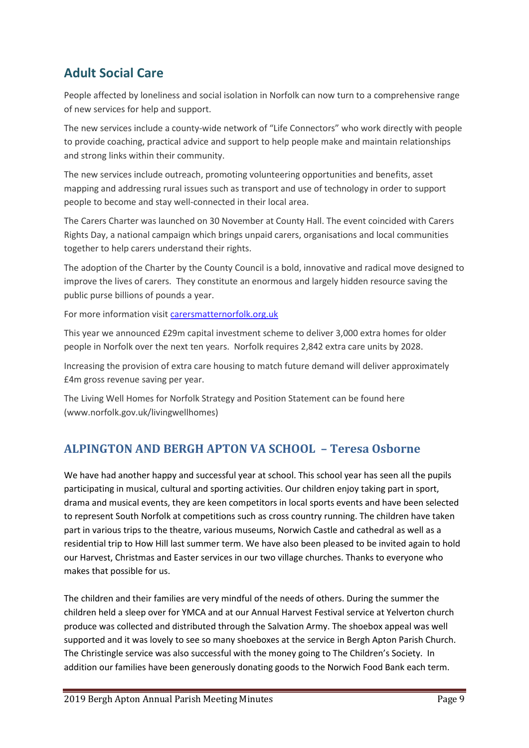# **Adult Social Care**

People affected by loneliness and social isolation in Norfolk can now turn to a comprehensive range of new services for help and support.

The new services include a county-wide network of "Life Connectors" who work directly with people to provide coaching, practical advice and support to help people make and maintain relationships and strong links within their community.

The new services include outreach, promoting volunteering opportunities and benefits, asset mapping and addressing rural issues such as transport and use of technology in order to support people to become and stay well-connected in their local area.

The Carers Charter was launched on 30 November at County Hall. The event coincided with Carers Rights Day, a national campaign which brings unpaid carers, organisations and local communities together to help carers understand their rights.

The adoption of the Charter by the County Council is a bold, innovative and radical move designed to improve the lives of carers. They constitute an enormous and largely hidden resource saving the public purse billions of pounds a year.

For more information visit [carersmatternorfolk.org.uk](https://carersmatternorfolk.org.uk/)

This year we announced £29m capital investment scheme to deliver 3,000 extra homes for older people in Norfolk over the next ten years. Norfolk requires 2,842 extra care units by 2028.

Increasing the provision of extra care housing to match future demand will deliver approximately £4m gross revenue saving per year.

The Living Well Homes for Norfolk Strategy and Position Statement can be found here [\(www.norfolk.gov.uk/livingwellhomes\)](http://www.norfolk.gov.uk/livingwellhomes)

### **ALPINGTON AND BERGH APTON VA SCHOOL – Teresa Osborne**

We have had another happy and successful year at school. This school year has seen all the pupils participating in musical, cultural and sporting activities. Our children enjoy taking part in sport, drama and musical events, they are keen competitors in local sports events and have been selected to represent South Norfolk at competitions such as cross country running. The children have taken part in various trips to the theatre, various museums, Norwich Castle and cathedral as well as a residential trip to How Hill last summer term. We have also been pleased to be invited again to hold our Harvest, Christmas and Easter services in our two village churches. Thanks to everyone who makes that possible for us.

The children and their families are very mindful of the needs of others. During the summer the children held a sleep over for YMCA and at our Annual Harvest Festival service at Yelverton church produce was collected and distributed through the Salvation Army. The shoebox appeal was well supported and it was lovely to see so many shoeboxes at the service in Bergh Apton Parish Church. The Christingle service was also successful with the money going to The Children's Society. In addition our families have been generously donating goods to the Norwich Food Bank each term.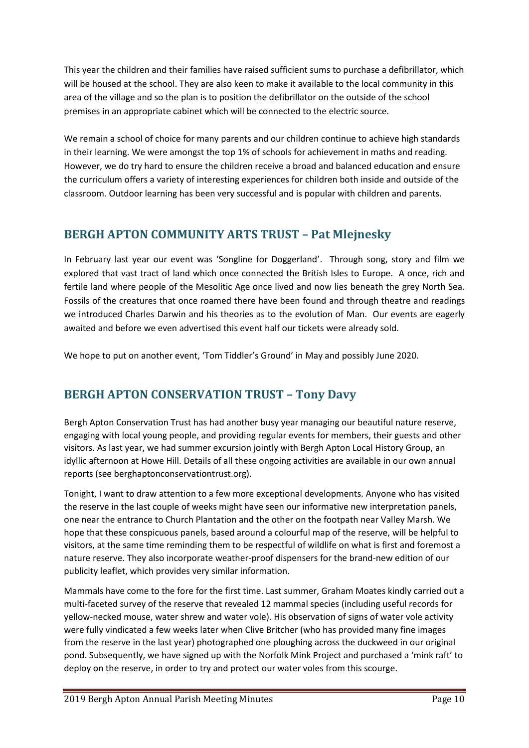This year the children and their families have raised sufficient sums to purchase a defibrillator, which will be housed at the school. They are also keen to make it available to the local community in this area of the village and so the plan is to position the defibrillator on the outside of the school premises in an appropriate cabinet which will be connected to the electric source.

We remain a school of choice for many parents and our children continue to achieve high standards in their learning. We were amongst the top 1% of schools for achievement in maths and reading. However, we do try hard to ensure the children receive a broad and balanced education and ensure the curriculum offers a variety of interesting experiences for children both inside and outside of the classroom. Outdoor learning has been very successful and is popular with children and parents.

# **BERGH APTON COMMUNITY ARTS TRUST – Pat Mlejnesky**

In February last year our event was 'Songline for Doggerland'. Through song, story and film we explored that vast tract of land which once connected the British Isles to Europe. A once, rich and fertile land where people of the Mesolitic Age once lived and now lies beneath the grey North Sea. Fossils of the creatures that once roamed there have been found and through theatre and readings we introduced Charles Darwin and his theories as to the evolution of Man. Our events are eagerly awaited and before we even advertised this event half our tickets were already sold.

We hope to put on another event, 'Tom Tiddler's Ground' in May and possibly June 2020.

# **BERGH APTON CONSERVATION TRUST – Tony Davy**

Bergh Apton Conservation Trust has had another busy year managing our beautiful nature reserve, engaging with local young people, and providing regular events for members, their guests and other visitors. As last year, we had summer excursion jointly with Bergh Apton Local History Group, an idyllic afternoon at Howe Hill. Details of all these ongoing activities are available in our own annual reports (see berghaptonconservationtrust.org).

Tonight, I want to draw attention to a few more exceptional developments. Anyone who has visited the reserve in the last couple of weeks might have seen our informative new interpretation panels, one near the entrance to Church Plantation and the other on the footpath near Valley Marsh. We hope that these conspicuous panels, based around a colourful map of the reserve, will be helpful to visitors, at the same time reminding them to be respectful of wildlife on what is first and foremost a nature reserve. They also incorporate weather-proof dispensers for the brand-new edition of our publicity leaflet, which provides very similar information.

Mammals have come to the fore for the first time. Last summer, Graham Moates kindly carried out a multi-faceted survey of the reserve that revealed 12 mammal species (including useful records for yellow-necked mouse, water shrew and water vole). His observation of signs of water vole activity were fully vindicated a few weeks later when Clive Britcher (who has provided many fine images from the reserve in the last year) photographed one ploughing across the duckweed in our original pond. Subsequently, we have signed up with the Norfolk Mink Project and purchased a 'mink raft' to deploy on the reserve, in order to try and protect our water voles from this scourge.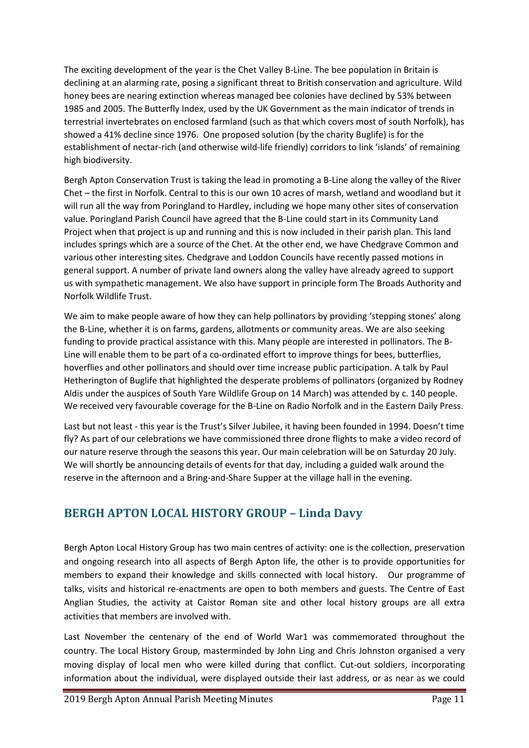The exciting development of the year is the Chet Valley B-Line. The bee population in Britain is declining at an alarming rate, posing a significant threat to British conservation and agriculture. Wild honey bees are nearing extinction whereas managed bee colonies have declined by 53% between 1985 and 2005. The Butterfly Index, used by the UK Government as the main indicator of trends in terrestrial invertebrates on enclosed farmland (such as that which covers most of south Norfolk), has showed a 41% decline since 1976. One proposed solution (by the charity Buglife) is for the establishment of nectar-rich (and otherwise wild-life friendly) corridors to link 'islands' of remaining high biodiversity.

Bergh Apton Conservation Trust is taking the lead in promoting a B-Line along the valley of the River Chet – the first in Norfolk. Central to this is our own 10 acres of marsh, wetland and woodland but it will run all the way from Poringland to Hardley, including we hope many other sites of conservation value. Poringland Parish Council have agreed that the B-Line could start in its Community Land Project when that project is up and running and this is now included in their parish plan. This land includes springs which are a source of the Chet. At the other end, we have Chedgrave Common and various other interesting sites. Chedgrave and Loddon Councils have recently passed motions in general support. A number of private land owners along the valley have already agreed to support us with sympathetic management. We also have support in principle form The Broads Authority and Norfolk Wildlife Trust.

We aim to make people aware of how they can help pollinators by providing 'stepping stones' along the B-Line, whether it is on farms, gardens, allotments or community areas. We are also seeking funding to provide practical assistance with this. Many people are interested in pollinators. The B-Line will enable them to be part of a co-ordinated effort to improve things for bees, butterflies, hoverflies and other pollinators and should over time increase public participation. A talk by Paul Hetherington of Buglife that highlighted the desperate problems of pollinators (organized by Rodney Aldis under the auspices of South Yare Wildlife Group on 14 March) was attended by c. 140 people. We received very favourable coverage for the B-Line on Radio Norfolk and in the Eastern Daily Press.

Last but not least - this year is the Trust's Silver Jubilee, it having been founded in 1994. Doesn't time fly? As part of our celebrations we have commissioned three drone flights to make a video record of our nature reserve through the seasons this year. Our main celebration will be on Saturday 20 July. We will shortly be announcing details of events for that day, including a guided walk around the reserve in the afternoon and a Bring-and-Share Supper at the village hall in the evening.

### **BERGH APTON LOCAL HISTORY GROUP – Linda Davy**

Bergh Apton Local History Group has two main centres of activity: one is the collection, preservation and ongoing research into all aspects of Bergh Apton life, the other is to provide opportunities for members to expand their knowledge and skills connected with local history. Our programme of talks, visits and historical re-enactments are open to both members and guests. The Centre of East Anglian Studies, the activity at Caistor Roman site and other local history groups are all extra activities that members are involved with.

Last November the centenary of the end of World War1 was commemorated throughout the country. The Local History Group, masterminded by John Ling and Chris Johnston organised a very moving display of local men who were killed during that conflict. Cut-out soldiers, incorporating information about the individual, were displayed outside their last address, or as near as we could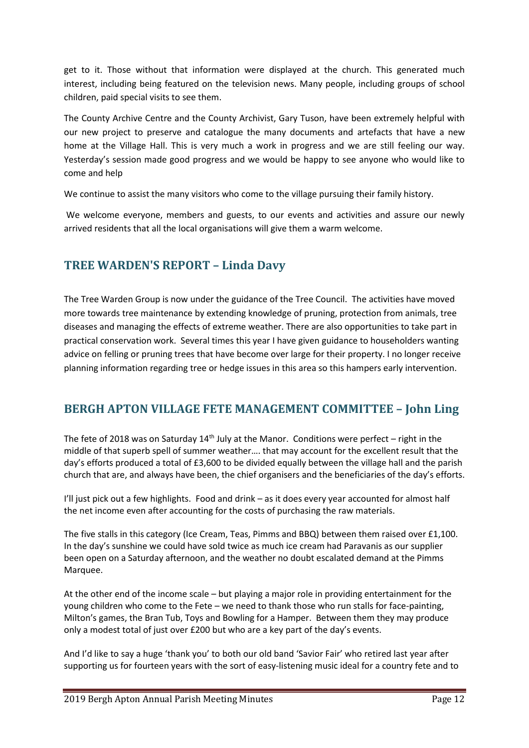get to it. Those without that information were displayed at the church. This generated much interest, including being featured on the television news. Many people, including groups of school children, paid special visits to see them.

The County Archive Centre and the County Archivist, Gary Tuson, have been extremely helpful with our new project to preserve and catalogue the many documents and artefacts that have a new home at the Village Hall. This is very much a work in progress and we are still feeling our way. Yesterday's session made good progress and we would be happy to see anyone who would like to come and help

We continue to assist the many visitors who come to the village pursuing their family history.

We welcome everyone, members and guests, to our events and activities and assure our newly arrived residents that all the local organisations will give them a warm welcome.

### **TREE WARDEN'S REPORT – Linda Davy**

The Tree Warden Group is now under the guidance of the Tree Council. The activities have moved more towards tree maintenance by extending knowledge of pruning, protection from animals, tree diseases and managing the effects of extreme weather. There are also opportunities to take part in practical conservation work. Several times this year I have given guidance to householders wanting advice on felling or pruning trees that have become over large for their property. I no longer receive planning information regarding tree or hedge issues in this area so this hampers early intervention.

#### **BERGH APTON VILLAGE FETE MANAGEMENT COMMITTEE – John Ling**

The fete of 2018 was on Saturday  $14<sup>th</sup>$  July at the Manor. Conditions were perfect – right in the middle of that superb spell of summer weather…. that may account for the excellent result that the day's efforts produced a total of £3,600 to be divided equally between the village hall and the parish church that are, and always have been, the chief organisers and the beneficiaries of the day's efforts.

I'll just pick out a few highlights. Food and drink – as it does every year accounted for almost half the net income even after accounting for the costs of purchasing the raw materials.

The five stalls in this category (Ice Cream, Teas, Pimms and BBQ) between them raised over £1,100. In the day's sunshine we could have sold twice as much ice cream had Paravanis as our supplier been open on a Saturday afternoon, and the weather no doubt escalated demand at the Pimms Marquee.

At the other end of the income scale – but playing a major role in providing entertainment for the young children who come to the Fete – we need to thank those who run stalls for face-painting, Milton's games, the Bran Tub, Toys and Bowling for a Hamper. Between them they may produce only a modest total of just over £200 but who are a key part of the day's events.

And I'd like to say a huge 'thank you' to both our old band 'Savior Fair' who retired last year after supporting us for fourteen years with the sort of easy-listening music ideal for a country fete and to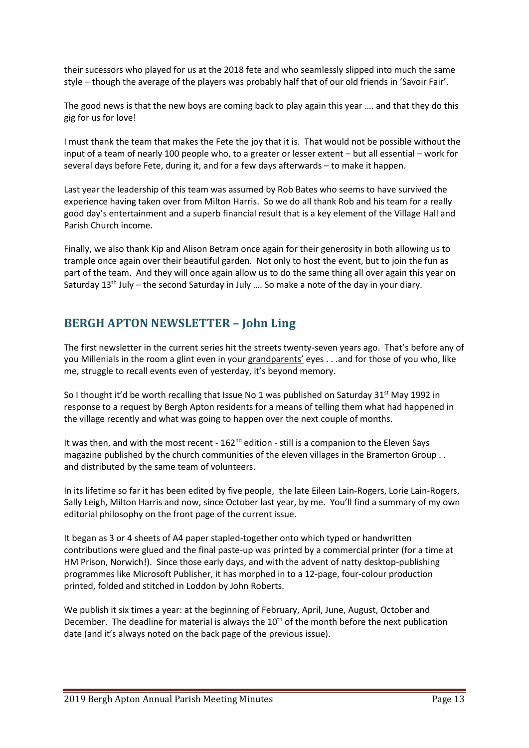their sucessors who played for us at the 2018 fete and who seamlessly slipped into much the same style – though the average of the players was probably half that of our old friends in 'Savoir Fair'.

The good news is that the new boys are coming back to play again this year .... and that they do this gig for us for love!

I must thank the team that makes the Fete the joy that it is. That would not be possible without the input of a team of nearly 100 people who, to a greater or lesser extent – but all essential – work for several days before Fete, during it, and for a few days afterwards – to make it happen.

Last year the leadership of this team was assumed by Rob Bates who seems to have survived the experience having taken over from Milton Harris. So we do all thank Rob and his team for a really good day's entertainment and a superb financial result that is a key element of the Village Hall and Parish Church income.

Finally, we also thank Kip and Alison Betram once again for their generosity in both allowing us to trample once again over their beautiful garden. Not only to host the event, but to join the fun as part of the team. And they will once again allow us to do the same thing all over again this year on Saturday 13<sup>th</sup> July – the second Saturday in July .... So make a note of the day in your diary.

# **BERGH APTON NEWSLETTER – John Ling**

The first newsletter in the current series hit the streets twenty-seven years ago. That's before any of you Millenials in the room a glint even in your grandparents' eyes . . .and for those of you who, like me, struggle to recall events even of yesterday, it's beyond memory.

So I thought it'd be worth recalling that Issue No 1 was published on Saturday  $31^{st}$  May 1992 in response to a request by Bergh Apton residents for a means of telling them what had happened in the village recently and what was going to happen over the next couple of months.

It was then, and with the most recent - 162<sup>nd</sup> edition - still is a companion to the Eleven Says magazine published by the church communities of the eleven villages in the Bramerton Group . . and distributed by the same team of volunteers.

In its lifetime so far it has been edited by five people, the late Eileen Lain-Rogers, Lorie Lain-Rogers, Sally Leigh, Milton Harris and now, since October last year, by me. You'll find a summary of my own editorial philosophy on the front page of the current issue.

It began as 3 or 4 sheets of A4 paper stapled-together onto which typed or handwritten contributions were glued and the final paste-up was printed by a commercial printer (for a time at HM Prison, Norwich!). Since those early days, and with the advent of natty desktop-publishing programmes like Microsoft Publisher, it has morphed in to a 12-page, four-colour production printed, folded and stitched in Loddon by John Roberts.

We publish it six times a year: at the beginning of February, April, June, August, October and December. The deadline for material is always the 10<sup>th</sup> of the month before the next publication date (and it's always noted on the back page of the previous issue).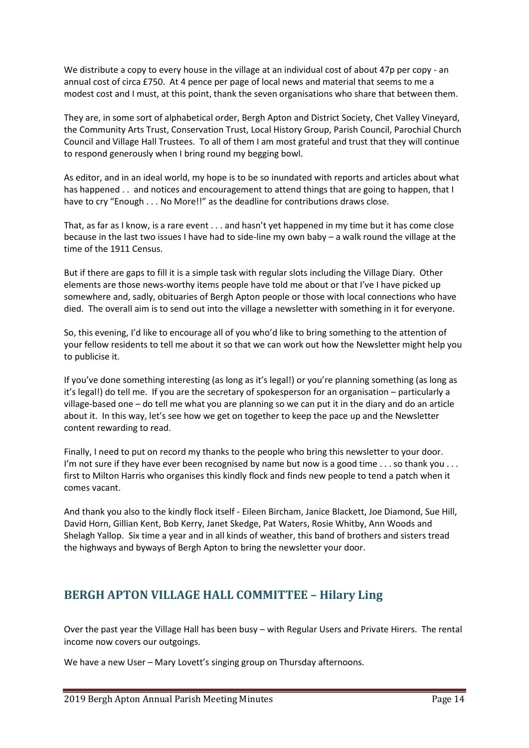We distribute a copy to every house in the village at an individual cost of about 47p per copy - an annual cost of circa £750. At 4 pence per page of local news and material that seems to me a modest cost and I must, at this point, thank the seven organisations who share that between them.

They are, in some sort of alphabetical order, Bergh Apton and District Society, Chet Valley Vineyard, the Community Arts Trust, Conservation Trust, Local History Group, Parish Council, Parochial Church Council and Village Hall Trustees. To all of them I am most grateful and trust that they will continue to respond generously when I bring round my begging bowl.

As editor, and in an ideal world, my hope is to be so inundated with reports and articles about what has happened . . and notices and encouragement to attend things that are going to happen, that I have to cry "Enough . . . No More!!" as the deadline for contributions draws close.

That, as far as I know, is a rare event . . . and hasn't yet happened in my time but it has come close because in the last two issues I have had to side-line my own baby – a walk round the village at the time of the 1911 Census.

But if there are gaps to fill it is a simple task with regular slots including the Village Diary. Other elements are those news-worthy items people have told me about or that I've I have picked up somewhere and, sadly, obituaries of Bergh Apton people or those with local connections who have died. The overall aim is to send out into the village a newsletter with something in it for everyone.

So, this evening, I'd like to encourage all of you who'd like to bring something to the attention of your fellow residents to tell me about it so that we can work out how the Newsletter might help you to publicise it.

If you've done something interesting (as long as it's legal!) or you're planning something (as long as it's legal!) do tell me. If you are the secretary of spokesperson for an organisation – particularly a village-based one – do tell me what you are planning so we can put it in the diary and do an article about it. In this way, let's see how we get on together to keep the pace up and the Newsletter content rewarding to read.

Finally, I need to put on record my thanks to the people who bring this newsletter to your door. I'm not sure if they have ever been recognised by name but now is a good time  $\dots$  so thank you  $\dots$ first to Milton Harris who organises this kindly flock and finds new people to tend a patch when it comes vacant.

And thank you also to the kindly flock itself - Eileen Bircham, Janice Blackett, Joe Diamond, Sue Hill, David Horn, Gillian Kent, Bob Kerry, Janet Skedge, Pat Waters, Rosie Whitby, Ann Woods and Shelagh Yallop. Six time a year and in all kinds of weather, this band of brothers and sisters tread the highways and byways of Bergh Apton to bring the newsletter your door.

### **BERGH APTON VILLAGE HALL COMMITTEE – Hilary Ling**

Over the past year the Village Hall has been busy – with Regular Users and Private Hirers. The rental income now covers our outgoings.

We have a new User – Mary Lovett's singing group on Thursday afternoons.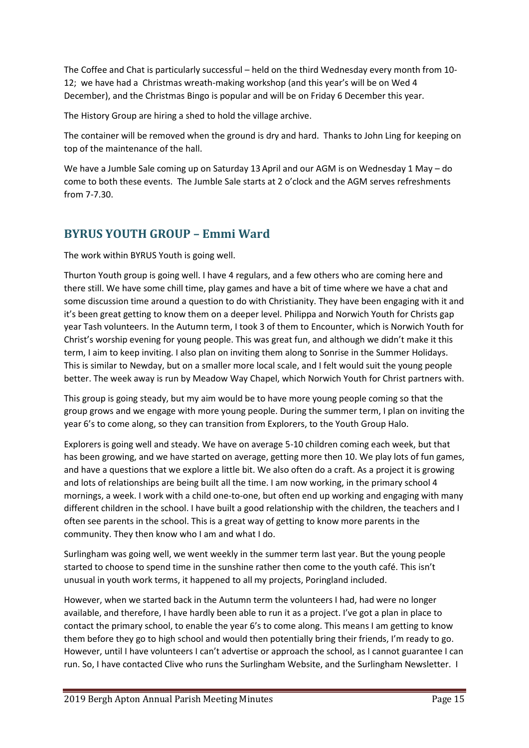The Coffee and Chat is particularly successful – held on the third Wednesday every month from 10- 12; we have had a Christmas wreath-making workshop (and this year's will be on Wed 4 December), and the Christmas Bingo is popular and will be on Friday 6 December this year.

The History Group are hiring a shed to hold the village archive.

The container will be removed when the ground is dry and hard. Thanks to John Ling for keeping on top of the maintenance of the hall.

We have a Jumble Sale coming up on Saturday 13 April and our AGM is on Wednesday 1 May – do come to both these events. The Jumble Sale starts at 2 o'clock and the AGM serves refreshments from 7-7.30.

# **BYRUS YOUTH GROUP – Emmi Ward**

The work within BYRUS Youth is going well.

Thurton Youth group is going well. I have 4 regulars, and a few others who are coming here and there still. We have some chill time, play games and have a bit of time where we have a chat and some discussion time around a question to do with Christianity. They have been engaging with it and it's been great getting to know them on a deeper level. Philippa and Norwich Youth for Christs gap year Tash volunteers. In the Autumn term, I took 3 of them to Encounter, which is Norwich Youth for Christ's worship evening for young people. This was great fun, and although we didn't make it this term, I aim to keep inviting. I also plan on inviting them along to Sonrise in the Summer Holidays. This is similar to Newday, but on a smaller more local scale, and I felt would suit the young people better. The week away is run by Meadow Way Chapel, which Norwich Youth for Christ partners with.

This group is going steady, but my aim would be to have more young people coming so that the group grows and we engage with more young people. During the summer term, I plan on inviting the year 6's to come along, so they can transition from Explorers, to the Youth Group Halo.

Explorers is going well and steady. We have on average 5-10 children coming each week, but that has been growing, and we have started on average, getting more then 10. We play lots of fun games, and have a questions that we explore a little bit. We also often do a craft. As a project it is growing and lots of relationships are being built all the time. I am now working, in the primary school 4 mornings, a week. I work with a child one-to-one, but often end up working and engaging with many different children in the school. I have built a good relationship with the children, the teachers and I often see parents in the school. This is a great way of getting to know more parents in the community. They then know who I am and what I do.

Surlingham was going well, we went weekly in the summer term last year. But the young people started to choose to spend time in the sunshine rather then come to the youth café. This isn't unusual in youth work terms, it happened to all my projects, Poringland included.

However, when we started back in the Autumn term the volunteers I had, had were no longer available, and therefore, I have hardly been able to run it as a project. I've got a plan in place to contact the primary school, to enable the year 6's to come along. This means I am getting to know them before they go to high school and would then potentially bring their friends, I'm ready to go. However, until I have volunteers I can't advertise or approach the school, as I cannot guarantee I can run. So, I have contacted Clive who runs the Surlingham Website, and the Surlingham Newsletter. I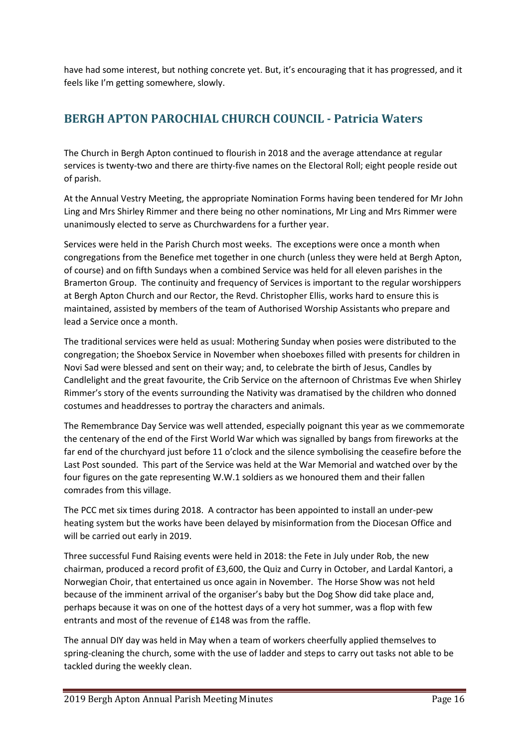have had some interest, but nothing concrete yet. But, it's encouraging that it has progressed, and it feels like I'm getting somewhere, slowly.

# **BERGH APTON PAROCHIAL CHURCH COUNCIL - Patricia Waters**

The Church in Bergh Apton continued to flourish in 2018 and the average attendance at regular services is twenty-two and there are thirty-five names on the Electoral Roll; eight people reside out of parish.

At the Annual Vestry Meeting, the appropriate Nomination Forms having been tendered for Mr John Ling and Mrs Shirley Rimmer and there being no other nominations, Mr Ling and Mrs Rimmer were unanimously elected to serve as Churchwardens for a further year.

Services were held in the Parish Church most weeks. The exceptions were once a month when congregations from the Benefice met together in one church (unless they were held at Bergh Apton, of course) and on fifth Sundays when a combined Service was held for all eleven parishes in the Bramerton Group. The continuity and frequency of Services is important to the regular worshippers at Bergh Apton Church and our Rector, the Revd. Christopher Ellis, works hard to ensure this is maintained, assisted by members of the team of Authorised Worship Assistants who prepare and lead a Service once a month.

The traditional services were held as usual: Mothering Sunday when posies were distributed to the congregation; the Shoebox Service in November when shoeboxes filled with presents for children in Novi Sad were blessed and sent on their way; and, to celebrate the birth of Jesus, Candles by Candlelight and the great favourite, the Crib Service on the afternoon of Christmas Eve when Shirley Rimmer's story of the events surrounding the Nativity was dramatised by the children who donned costumes and headdresses to portray the characters and animals.

The Remembrance Day Service was well attended, especially poignant this year as we commemorate the centenary of the end of the First World War which was signalled by bangs from fireworks at the far end of the churchyard just before 11 o'clock and the silence symbolising the ceasefire before the Last Post sounded. This part of the Service was held at the War Memorial and watched over by the four figures on the gate representing W.W.1 soldiers as we honoured them and their fallen comrades from this village.

The PCC met six times during 2018. A contractor has been appointed to install an under-pew heating system but the works have been delayed by misinformation from the Diocesan Office and will be carried out early in 2019.

Three successful Fund Raising events were held in 2018: the Fete in July under Rob, the new chairman, produced a record profit of £3,600, the Quiz and Curry in October, and Lardal Kantori, a Norwegian Choir, that entertained us once again in November. The Horse Show was not held because of the imminent arrival of the organiser's baby but the Dog Show did take place and, perhaps because it was on one of the hottest days of a very hot summer, was a flop with few entrants and most of the revenue of £148 was from the raffle.

The annual DIY day was held in May when a team of workers cheerfully applied themselves to spring-cleaning the church, some with the use of ladder and steps to carry out tasks not able to be tackled during the weekly clean.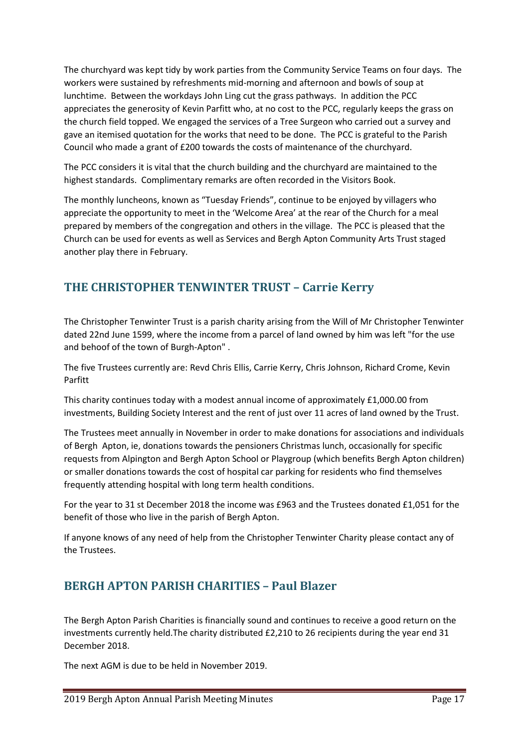The churchyard was kept tidy by work parties from the Community Service Teams on four days. The workers were sustained by refreshments mid-morning and afternoon and bowls of soup at lunchtime. Between the workdays John Ling cut the grass pathways. In addition the PCC appreciates the generosity of Kevin Parfitt who, at no cost to the PCC, regularly keeps the grass on the church field topped. We engaged the services of a Tree Surgeon who carried out a survey and gave an itemised quotation for the works that need to be done. The PCC is grateful to the Parish Council who made a grant of £200 towards the costs of maintenance of the churchyard.

The PCC considers it is vital that the church building and the churchyard are maintained to the highest standards. Complimentary remarks are often recorded in the Visitors Book.

The monthly luncheons, known as "Tuesday Friends", continue to be enjoyed by villagers who appreciate the opportunity to meet in the 'Welcome Area' at the rear of the Church for a meal prepared by members of the congregation and others in the village. The PCC is pleased that the Church can be used for events as well as Services and Bergh Apton Community Arts Trust staged another play there in February.

# **THE CHRISTOPHER TENWINTER TRUST – Carrie Kerry**

The Christopher Tenwinter Trust is a parish charity arising from the Will of Mr Christopher Tenwinter dated 22nd June 1599, where the income from a parcel of land owned by him was left "for the use and behoof of the town of Burgh-Apton" .

The five Trustees currently are: Revd Chris Ellis, Carrie Kerry, Chris Johnson, Richard Crome, Kevin Parfitt

This charity continues today with a modest annual income of approximately £1,000.00 from investments, Building Society Interest and the rent of just over 11 acres of land owned by the Trust.

The Trustees meet annually in November in order to make donations for associations and individuals of Bergh Apton, ie, donations towards the pensioners Christmas lunch, occasionally for specific requests from Alpington and Bergh Apton School or Playgroup (which benefits Bergh Apton children) or smaller donations towards the cost of hospital car parking for residents who find themselves frequently attending hospital with long term health conditions.

For the year to 31 st December 2018 the income was £963 and the Trustees donated £1,051 for the benefit of those who live in the parish of Bergh Apton.

If anyone knows of any need of help from the Christopher Tenwinter Charity please contact any of the Trustees.

### **BERGH APTON PARISH CHARITIES – Paul Blazer**

The Bergh Apton Parish Charities is financially sound and continues to receive a good return on the investments currently held.The charity distributed £2,210 to 26 recipients during the year end 31 December 2018.

The next AGM is due to be held in November 2019.